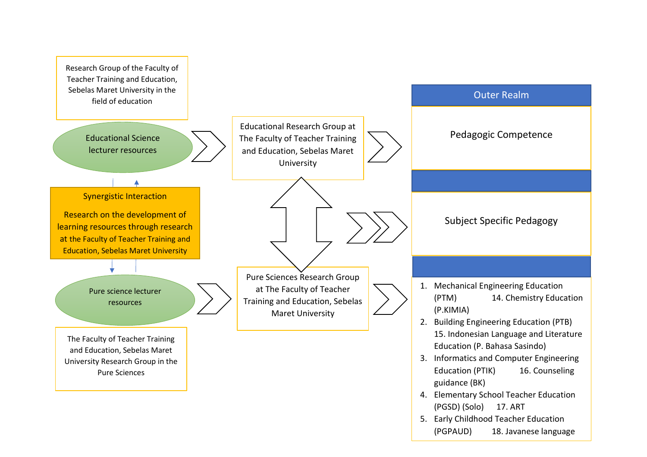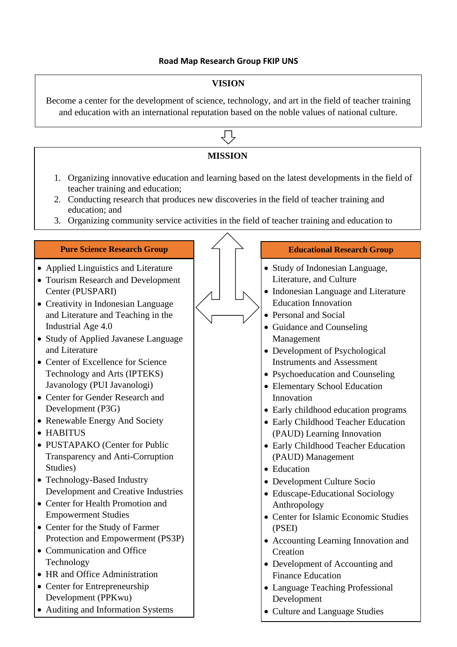## **Road Map Research Group FKIP UNS**

## **VISION**

Become a center for the development of science, technology, and art in the field of teacher training and education with an international reputation based on the noble values of national culture.

## **MISSION**

- 1. Organizing innovative education and learning based on the latest developments in the field of teacher training and education;
- 2. Conducting research that produces new discoveries in the field of teacher training and education; and
- 3. Organizing community service activities in the field of teacher training and education to

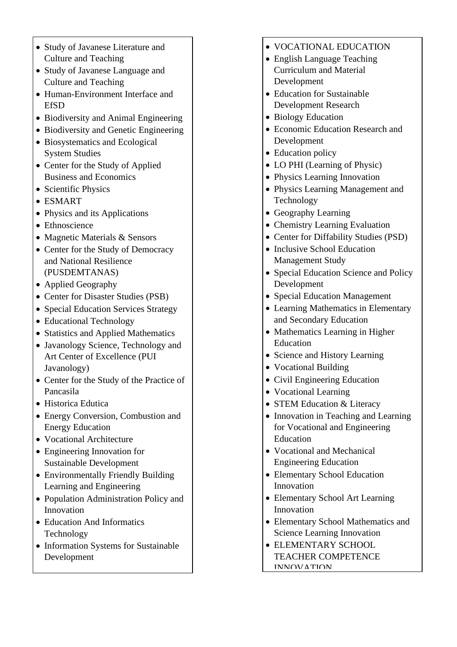- Study of Javanese Literature and Culture and Teaching
- Study of Javanese Language and Culture and Teaching
- Human-Environment Interface and **EfSD**
- Biodiversity and Animal Engineering
- Biodiversity and Genetic Engineering
- Biosystematics and Ecological System Studies
- Center for the Study of Applied Business and Economics
- Scientific Physics
- ESMART
- Physics and its Applications
- Ethnoscience
- Magnetic Materials & Sensors
- Center for the Study of Democracy and National Resilience (PUSDEMTANAS)
- Applied Geography
- Center for Disaster Studies (PSB)
- Special Education Services Strategy
- Educational Technology
- Statistics and Applied Mathematics
- Javanology Science, Technology and Art Center of Excellence (PUI Javanology)
- Center for the Study of the Practice of Pancasila
- Historica Edutica
- Energy Conversion, Combustion and Energy Education
- Vocational Architecture
- Engineering Innovation for Sustainable Development
- Environmentally Friendly Building Learning and Engineering
- Population Administration Policy and Innovation
- Education And Informatics Technology
- Information Systems for Sustainable Development
- VOCATIONAL EDUCATION
- English Language Teaching Curriculum and Material Development
- Education for Sustainable Development Research
- Biology Education
- Economic Education Research and Development
- Education policy
- LO PHI (Learning of Physic)
- Physics Learning Innovation
- Physics Learning Management and Technology
- Geography Learning
- Chemistry Learning Evaluation
- Center for Diffability Studies (PSD)
- Inclusive School Education Management Study
- Special Education Science and Policy Development
- Special Education Management
- Learning Mathematics in Elementary and Secondary Education
- Mathematics Learning in Higher Education
- Science and History Learning
- Vocational Building
- Civil Engineering Education
- Vocational Learning
- STEM Education & Literacy
- Innovation in Teaching and Learning for Vocational and Engineering Education
- Vocational and Mechanical Engineering Education
- Elementary School Education Innovation
- Elementary School Art Learning Innovation
- Elementary School Mathematics and Science Learning Innovation
- ELEMENTARY SCHOOL TEACHER COMPETENCE INNOVATION